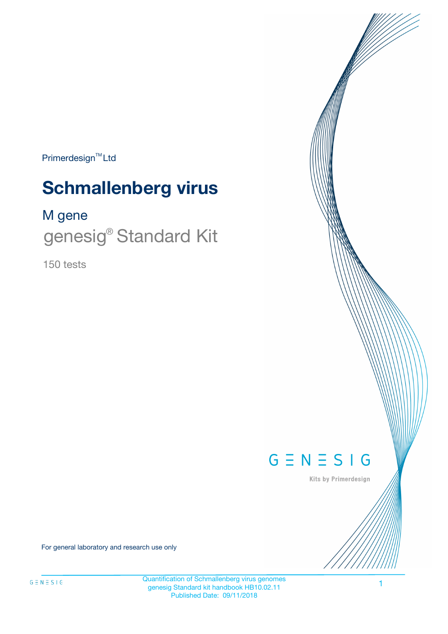Primerdesign<sup>™</sup>Ltd

# **Schmallenberg virus**

M gene

genesig<sup>®</sup> Standard Kit

150 tests



Kits by Primerdesign

For general laboratory and research use only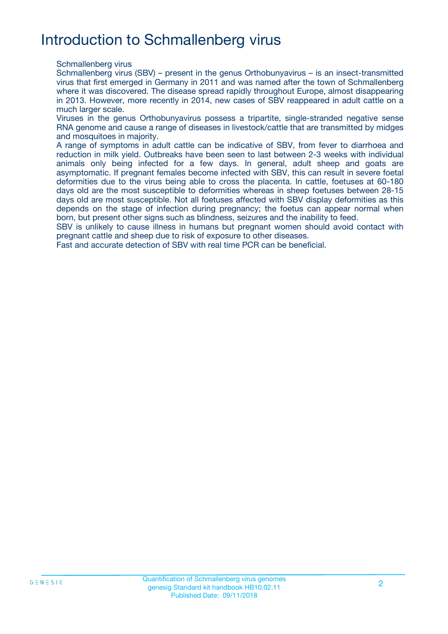## Introduction to Schmallenberg virus

Schmallenberg virus

Schmallenberg virus (SBV) – present in the genus Orthobunyavirus – is an insect-transmitted virus that first emerged in Germany in 2011 and was named after the town of Schmallenberg where it was discovered. The disease spread rapidly throughout Europe, almost disappearing in 2013. However, more recently in 2014, new cases of SBV reappeared in adult cattle on a much larger scale.

Viruses in the genus Orthobunyavirus possess a tripartite, single-stranded negative sense RNA genome and cause a range of diseases in livestock/cattle that are transmitted by midges and mosquitoes in majority.

A range of symptoms in adult cattle can be indicative of SBV, from fever to diarrhoea and reduction in milk yield. Outbreaks have been seen to last between 2-3 weeks with individual animals only being infected for a few days. In general, adult sheep and goats are asymptomatic. If pregnant females become infected with SBV, this can result in severe foetal deformities due to the virus being able to cross the placenta. In cattle, foetuses at 60-180 days old are the most susceptible to deformities whereas in sheep foetuses between 28-15 days old are most susceptible. Not all foetuses affected with SBV display deformities as this depends on the stage of infection during pregnancy; the foetus can appear normal when born, but present other signs such as blindness, seizures and the inability to feed.

SBV is unlikely to cause illness in humans but pregnant women should avoid contact with pregnant cattle and sheep due to risk of exposure to other diseases.

Fast and accurate detection of SBV with real time PCR can be beneficial.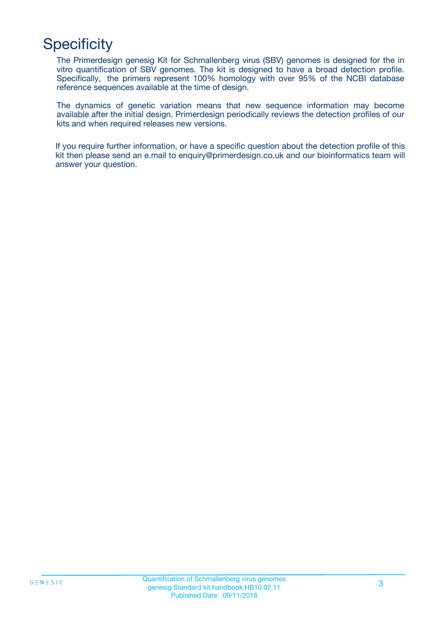## **Specificity**

The Primerdesign genesig Kit for Schmallenberg virus (SBV) genomes is designed for the in vitro quantification of SBV genomes. The kit is designed to have a broad detection profile. Specifically, the primers represent 100% homology with over 95% of the NCBI database reference sequences available at the time of design.

The dynamics of genetic variation means that new sequence information may become available after the initial design. Primerdesign periodically reviews the detection profiles of our kits and when required releases new versions.

If you require further information, or have a specific question about the detection profile of this kit then please send an e.mail to enquiry@primerdesign.co.uk and our bioinformatics team will answer your question.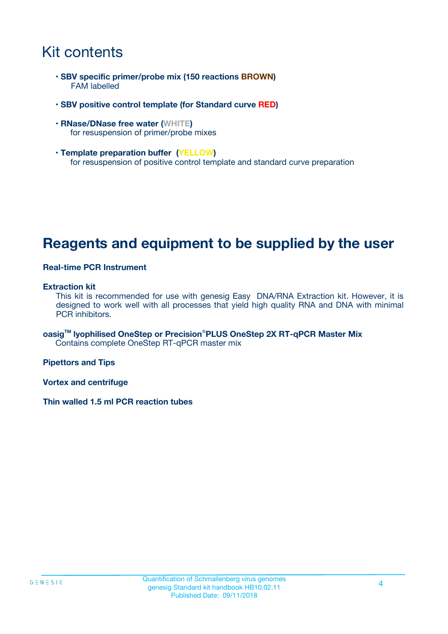### Kit contents

- **SBV specific primer/probe mix (150 reactions BROWN)** FAM labelled
- **SBV positive control template (for Standard curve RED)**
- **RNase/DNase free water (WHITE)** for resuspension of primer/probe mixes
- **Template preparation buffer (YELLOW)** for resuspension of positive control template and standard curve preparation

### **Reagents and equipment to be supplied by the user**

#### **Real-time PCR Instrument**

#### **Extraction kit**

This kit is recommended for use with genesig Easy DNA/RNA Extraction kit. However, it is designed to work well with all processes that yield high quality RNA and DNA with minimal PCR inhibitors.

**oasigTM lyophilised OneStep or Precision**®**PLUS OneStep 2X RT-qPCR Master Mix** Contains complete OneStep RT-qPCR master mix

**Pipettors and Tips**

**Vortex and centrifuge**

**Thin walled 1.5 ml PCR reaction tubes**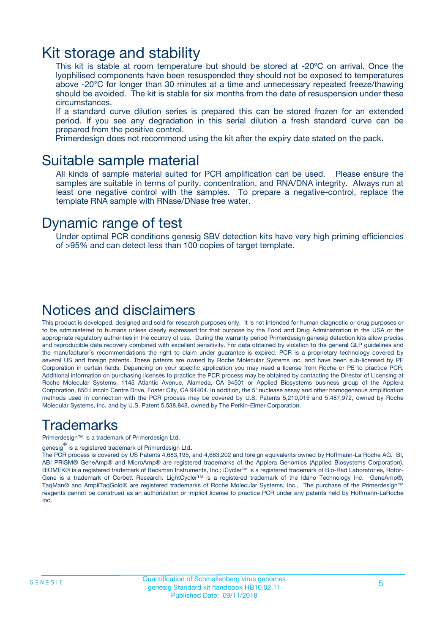### Kit storage and stability

This kit is stable at room temperature but should be stored at -20ºC on arrival. Once the lyophilised components have been resuspended they should not be exposed to temperatures above -20°C for longer than 30 minutes at a time and unnecessary repeated freeze/thawing should be avoided. The kit is stable for six months from the date of resuspension under these circumstances.

If a standard curve dilution series is prepared this can be stored frozen for an extended period. If you see any degradation in this serial dilution a fresh standard curve can be prepared from the positive control.

Primerdesign does not recommend using the kit after the expiry date stated on the pack.

### Suitable sample material

All kinds of sample material suited for PCR amplification can be used. Please ensure the samples are suitable in terms of purity, concentration, and RNA/DNA integrity. Always run at least one negative control with the samples. To prepare a negative-control, replace the template RNA sample with RNase/DNase free water.

### Dynamic range of test

Under optimal PCR conditions genesig SBV detection kits have very high priming efficiencies of >95% and can detect less than 100 copies of target template.

### Notices and disclaimers

This product is developed, designed and sold for research purposes only. It is not intended for human diagnostic or drug purposes or to be administered to humans unless clearly expressed for that purpose by the Food and Drug Administration in the USA or the appropriate regulatory authorities in the country of use. During the warranty period Primerdesign genesig detection kits allow precise and reproducible data recovery combined with excellent sensitivity. For data obtained by violation to the general GLP guidelines and the manufacturer's recommendations the right to claim under guarantee is expired. PCR is a proprietary technology covered by several US and foreign patents. These patents are owned by Roche Molecular Systems Inc. and have been sub-licensed by PE Corporation in certain fields. Depending on your specific application you may need a license from Roche or PE to practice PCR. Additional information on purchasing licenses to practice the PCR process may be obtained by contacting the Director of Licensing at Roche Molecular Systems, 1145 Atlantic Avenue, Alameda, CA 94501 or Applied Biosystems business group of the Applera Corporation, 850 Lincoln Centre Drive, Foster City, CA 94404. In addition, the 5' nuclease assay and other homogeneous amplification methods used in connection with the PCR process may be covered by U.S. Patents 5,210,015 and 5,487,972, owned by Roche Molecular Systems, Inc, and by U.S. Patent 5,538,848, owned by The Perkin-Elmer Corporation.

### Trademarks

Primerdesign™ is a trademark of Primerdesign Ltd.

genesig $^\circledR$  is a registered trademark of Primerdesign Ltd.

The PCR process is covered by US Patents 4,683,195, and 4,683,202 and foreign equivalents owned by Hoffmann-La Roche AG. BI, ABI PRISM® GeneAmp® and MicroAmp® are registered trademarks of the Applera Genomics (Applied Biosystems Corporation). BIOMEK® is a registered trademark of Beckman Instruments, Inc.; iCycler™ is a registered trademark of Bio-Rad Laboratories, Rotor-Gene is a trademark of Corbett Research. LightCycler™ is a registered trademark of the Idaho Technology Inc. GeneAmp®, TaqMan® and AmpliTaqGold® are registered trademarks of Roche Molecular Systems, Inc., The purchase of the Primerdesign™ reagents cannot be construed as an authorization or implicit license to practice PCR under any patents held by Hoffmann-LaRoche Inc.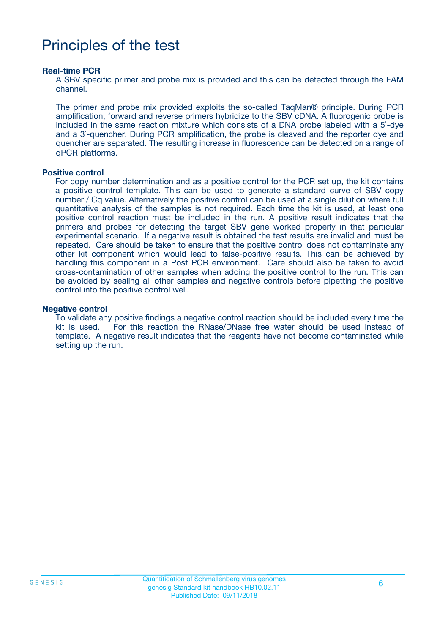## Principles of the test

#### **Real-time PCR**

A SBV specific primer and probe mix is provided and this can be detected through the FAM channel.

The primer and probe mix provided exploits the so-called TaqMan® principle. During PCR amplification, forward and reverse primers hybridize to the SBV cDNA. A fluorogenic probe is included in the same reaction mixture which consists of a DNA probe labeled with a 5`-dye and a 3`-quencher. During PCR amplification, the probe is cleaved and the reporter dye and quencher are separated. The resulting increase in fluorescence can be detected on a range of qPCR platforms.

#### **Positive control**

For copy number determination and as a positive control for the PCR set up, the kit contains a positive control template. This can be used to generate a standard curve of SBV copy number / Cq value. Alternatively the positive control can be used at a single dilution where full quantitative analysis of the samples is not required. Each time the kit is used, at least one positive control reaction must be included in the run. A positive result indicates that the primers and probes for detecting the target SBV gene worked properly in that particular experimental scenario. If a negative result is obtained the test results are invalid and must be repeated. Care should be taken to ensure that the positive control does not contaminate any other kit component which would lead to false-positive results. This can be achieved by handling this component in a Post PCR environment. Care should also be taken to avoid cross-contamination of other samples when adding the positive control to the run. This can be avoided by sealing all other samples and negative controls before pipetting the positive control into the positive control well.

#### **Negative control**

To validate any positive findings a negative control reaction should be included every time the kit is used. For this reaction the RNase/DNase free water should be used instead of template. A negative result indicates that the reagents have not become contaminated while setting up the run.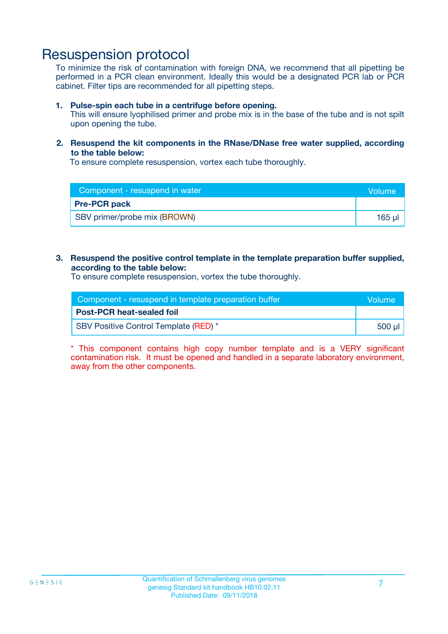### Resuspension protocol

To minimize the risk of contamination with foreign DNA, we recommend that all pipetting be performed in a PCR clean environment. Ideally this would be a designated PCR lab or PCR cabinet. Filter tips are recommended for all pipetting steps.

#### **1. Pulse-spin each tube in a centrifuge before opening.**

This will ensure lyophilised primer and probe mix is in the base of the tube and is not spilt upon opening the tube.

#### **2. Resuspend the kit components in the RNase/DNase free water supplied, according to the table below:**

To ensure complete resuspension, vortex each tube thoroughly.

| Component - resuspend in water | <b>Volume</b> |
|--------------------------------|---------------|
| <b>Pre-PCR pack</b>            |               |
| SBV primer/probe mix (BROWN)   | 165 µl        |

#### **3. Resuspend the positive control template in the template preparation buffer supplied, according to the table below:**

To ensure complete resuspension, vortex the tube thoroughly.

| Component - resuspend in template preparation buffer |        |  |
|------------------------------------------------------|--------|--|
| <b>Post-PCR heat-sealed foil</b>                     |        |  |
| <b>SBV Positive Control Template (RED)</b> *         | 500 µl |  |

\* This component contains high copy number template and is a VERY significant contamination risk. It must be opened and handled in a separate laboratory environment, away from the other components.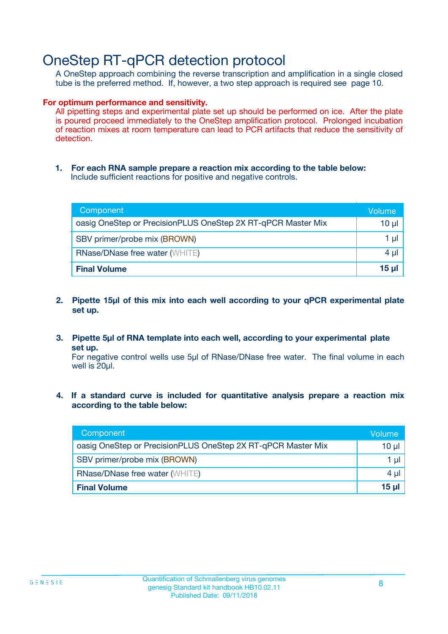### OneStep RT-qPCR detection protocol

A OneStep approach combining the reverse transcription and amplification in a single closed tube is the preferred method. If, however, a two step approach is required see page 10.

#### **For optimum performance and sensitivity.**

All pipetting steps and experimental plate set up should be performed on ice. After the plate is poured proceed immediately to the OneStep amplification protocol. Prolonged incubation of reaction mixes at room temperature can lead to PCR artifacts that reduce the sensitivity of detection.

**1. For each RNA sample prepare a reaction mix according to the table below:** Include sufficient reactions for positive and negative controls.

| Component                                                    | Volume   |
|--------------------------------------------------------------|----------|
| oasig OneStep or PrecisionPLUS OneStep 2X RT-qPCR Master Mix | $10 \mu$ |
| SBV primer/probe mix (BROWN)                                 | 1 µl     |
| <b>RNase/DNase free water (WHITE)</b>                        | $4 \mu$  |
| <b>Final Volume</b>                                          | $15$ µ   |

- **2. Pipette 15µl of this mix into each well according to your qPCR experimental plate set up.**
- **3. Pipette 5µl of RNA template into each well, according to your experimental plate set up.**

For negative control wells use 5µl of RNase/DNase free water. The final volume in each well is 20ul.

**4. If a standard curve is included for quantitative analysis prepare a reaction mix according to the table below:**

| Component                                                    | Volume |
|--------------------------------------------------------------|--------|
| oasig OneStep or PrecisionPLUS OneStep 2X RT-qPCR Master Mix | 10 µl  |
| SBV primer/probe mix (BROWN)                                 | 1 µl   |
| <b>RNase/DNase free water (WHITE)</b>                        | 4 µl   |
| <b>Final Volume</b>                                          | 15 µl  |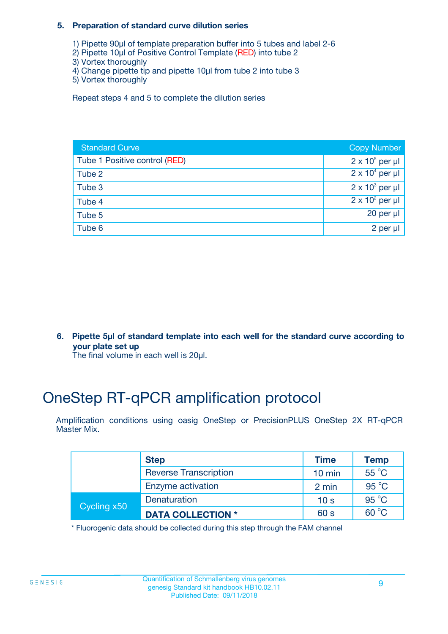#### **5. Preparation of standard curve dilution series**

- 1) Pipette 90µl of template preparation buffer into 5 tubes and label 2-6
- 2) Pipette 10µl of Positive Control Template (RED) into tube 2
- 3) Vortex thoroughly
- 4) Change pipette tip and pipette 10µl from tube 2 into tube 3
- 5) Vortex thoroughly

Repeat steps 4 and 5 to complete the dilution series

| <b>Standard Curve</b>         | <b>Copy Number</b>     |
|-------------------------------|------------------------|
| Tube 1 Positive control (RED) | $2 \times 10^5$ per µl |
| Tube 2                        | $2 \times 10^4$ per µl |
| Tube 3                        | $2 \times 10^3$ per µl |
| Tube 4                        | $2 \times 10^2$ per µl |
| Tube 5                        | 20 per $\mu$           |
| Tube 6                        | 2 per µl               |

**6. Pipette 5µl of standard template into each well for the standard curve according to your plate set up**

The final volume in each well is 20ul.

## OneStep RT-qPCR amplification protocol

Amplification conditions using oasig OneStep or PrecisionPLUS OneStep 2X RT-qPCR Master Mix.

|             | <b>Step</b>                  | <b>Time</b>      | <b>Temp</b>    |
|-------------|------------------------------|------------------|----------------|
|             | <b>Reverse Transcription</b> | $10 \text{ min}$ | $55^{\circ}$ C |
|             | Enzyme activation            | 2 min            | $95^{\circ}$ C |
| Cycling x50 | Denaturation                 | 10 <sub>s</sub>  | $95^{\circ}$ C |
|             | <b>DATA COLLECTION *</b>     | 60 s             | $60^{\circ}$ C |

\* Fluorogenic data should be collected during this step through the FAM channel